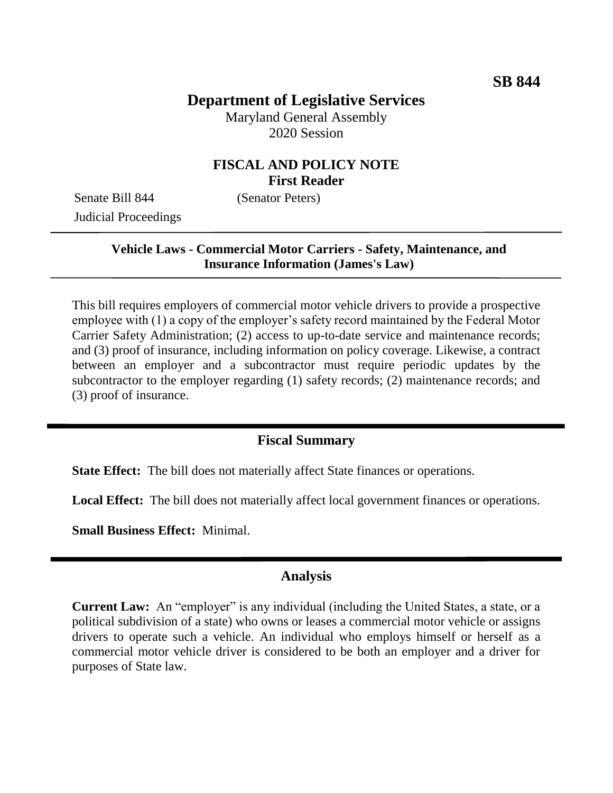# **Department of Legislative Services**

Maryland General Assembly 2020 Session

## **FISCAL AND POLICY NOTE First Reader**

Senate Bill 844 (Senator Peters) Judicial Proceedings

### **Vehicle Laws - Commercial Motor Carriers - Safety, Maintenance, and Insurance Information (James's Law)**

This bill requires employers of commercial motor vehicle drivers to provide a prospective employee with (1) a copy of the employer's safety record maintained by the Federal Motor Carrier Safety Administration; (2) access to up-to-date service and maintenance records; and (3) proof of insurance, including information on policy coverage. Likewise, a contract between an employer and a subcontractor must require periodic updates by the subcontractor to the employer regarding (1) safety records; (2) maintenance records; and (3) proof of insurance.

#### **Fiscal Summary**

**State Effect:** The bill does not materially affect State finances or operations.

**Local Effect:** The bill does not materially affect local government finances or operations.

**Small Business Effect:** Minimal.

#### **Analysis**

**Current Law:** An "employer" is any individual (including the United States, a state, or a political subdivision of a state) who owns or leases a commercial motor vehicle or assigns drivers to operate such a vehicle. An individual who employs himself or herself as a commercial motor vehicle driver is considered to be both an employer and a driver for purposes of State law.